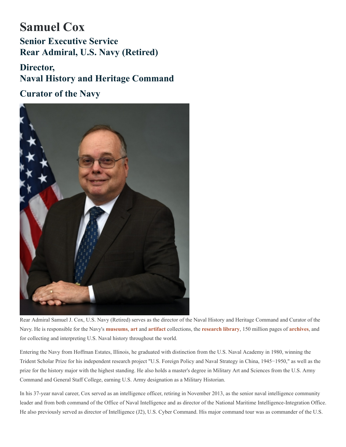## **Samuel Cox Senior Executive Service Rear Admiral, U.S. Navy (Retired)**

## **Director, Naval History and Heritage Command**

**Curator of the Navy**



Rear Admiral Samuel J. Cox, U.S. Navy (Retired) serves as the director of the Naval History and Heritage Command and Curator of the Navy. He is responsible for the Navy's [museums](https://www.history.navy.mil/visit-our-museums.html), [art](https://www.history.navy.mil/our-collections/art.html) and [artifact](https://www.history.navy.mil/our-collections/artifacts.html) collections, the [research library](https://www.history.navy.mil/research/library.html), 150 million pages of [archives](https://www.history.navy.mil/content/history/nhhc/research/archives.html), and for collecting and interpreting U.S. Naval history throughout the world.

Entering the Navy from Hoffman Estates, Illinois, he graduated with distinction from the U.S. Naval Academy in 1980, winning the Trident Scholar Prize for his independent research project "U.S. Foreign Policy and Naval Strategy in China, 1945−1950," as well as the prize for the history major with the highest standing. He also holds a master's degree in Military Art and Sciences from the U.S. Army Command and General Staff College, earning U.S. Army designation as a Military Historian.

In his 37-year naval career, Cox served as an intelligence officer, retiring in November 2013, as the senior naval intelligence community leader and from both command of the Office of Naval Intelligence and as director of the National Maritime Intelligence-Integration Office. He also previously served as director of Intelligence (J2), U.S. Cyber Command. His major command tour was as commander of the U.S.